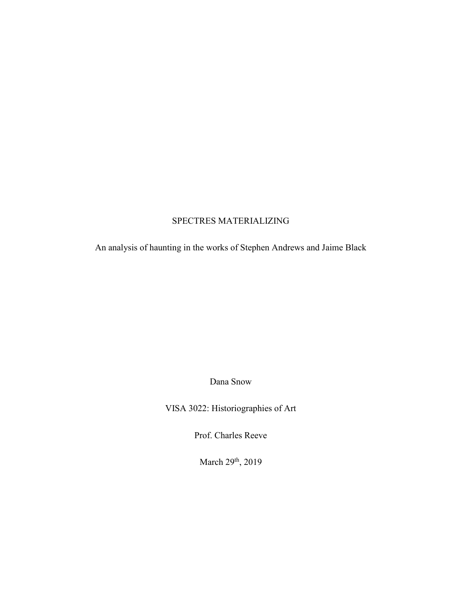## SPECTRES MATERIALIZING

An analysis of haunting in the works of Stephen Andrews and Jaime Black

Dana Snow

VISA 3022: Historiographies of Art

Prof. Charles Reeve

March 29<sup>th</sup>, 2019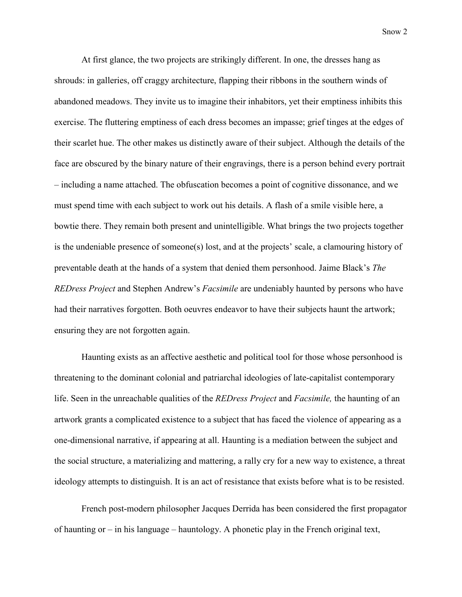At first glance, the two projects are strikingly different. In one, the dresses hang as shrouds: in galleries, off craggy architecture, flapping their ribbons in the southern winds of abandoned meadows. They invite us to imagine their inhabitors, yet their emptiness inhibits this exercise. The fluttering emptiness of each dress becomes an impasse; grief tinges at the edges of their scarlet hue. The other makes us distinctly aware of their subject. Although the details of the face are obscured by the binary nature of their engravings, there is a person behind every portrait – including a name attached. The obfuscation becomes a point of cognitive dissonance, and we must spend time with each subject to work out his details. A flash of a smile visible here, a bowtie there. They remain both present and unintelligible. What brings the two projects together is the undeniable presence of someone(s) lost, and at the projects' scale, a clamouring history of preventable death at the hands of a system that denied them personhood. Jaime Black's *The REDress Project* and Stephen Andrew's *Facsimile* are undeniably haunted by persons who have had their narratives forgotten. Both oeuvres endeavor to have their subjects haunt the artwork; ensuring they are not forgotten again.

Haunting exists as an affective aesthetic and political tool for those whose personhood is threatening to the dominant colonial and patriarchal ideologies of late-capitalist contemporary life. Seen in the unreachable qualities of the *REDress Project* and *Facsimile,* the haunting of an artwork grants a complicated existence to a subject that has faced the violence of appearing as a one-dimensional narrative, if appearing at all. Haunting is a mediation between the subject and the social structure, a materializing and mattering, a rally cry for a new way to existence, a threat ideology attempts to distinguish. It is an act of resistance that exists before what is to be resisted.

French post-modern philosopher Jacques Derrida has been considered the first propagator of haunting or – in his language – hauntology. A phonetic play in the French original text,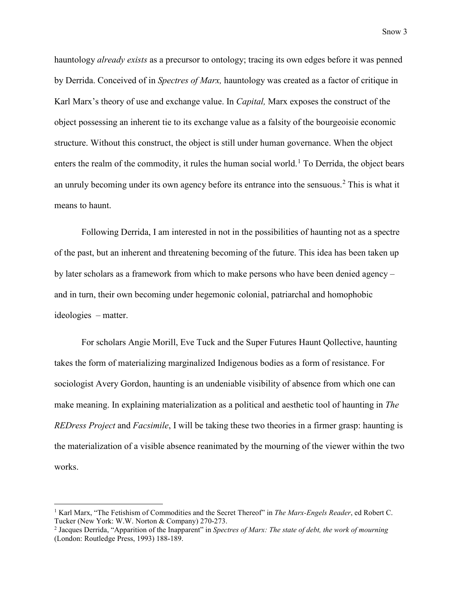hauntology *already exists* as a precursor to ontology; tracing its own edges before it was penned by Derrida. Conceived of in *Spectres of Marx,* hauntology was created as a factor of critique in Karl Marx's theory of use and exchange value. In *Capital,* Marx exposes the construct of the object possessing an inherent tie to its exchange value as a falsity of the bourgeoisie economic structure. Without this construct, the object is still under human governance. When the object enters the realm of the commodity, it rules the human social world.<sup>[1](#page-2-0)</sup> To Derrida, the object bears an unruly becoming under its own agency before its entrance into the sensuous. [2](#page-2-1) This is what it means to haunt.

Following Derrida, I am interested in not in the possibilities of haunting not as a spectre of the past, but an inherent and threatening becoming of the future. This idea has been taken up by later scholars as a framework from which to make persons who have been denied agency – and in turn, their own becoming under hegemonic colonial, patriarchal and homophobic ideologies – matter.

For scholars Angie Morill, Eve Tuck and the Super Futures Haunt Qollective, haunting takes the form of materializing marginalized Indigenous bodies as a form of resistance. For sociologist Avery Gordon, haunting is an undeniable visibility of absence from which one can make meaning. In explaining materialization as a political and aesthetic tool of haunting in *The REDress Project* and *Facsimile*, I will be taking these two theories in a firmer grasp: haunting is the materialization of a visible absence reanimated by the mourning of the viewer within the two works.

<span id="page-2-0"></span><sup>1</sup> Karl Marx, "The Fetishism of Commodities and the Secret Thereof" in *The Marx-Engels Reader*, ed Robert C. Tucker (New York: W.W. Norton & Company) 270-273.

<span id="page-2-1"></span><sup>2</sup> Jacques Derrida, "Apparition of the Inapparent" in *Spectres of Marx: The state of debt, the work of mourning* (London: Routledge Press, 1993) 188-189.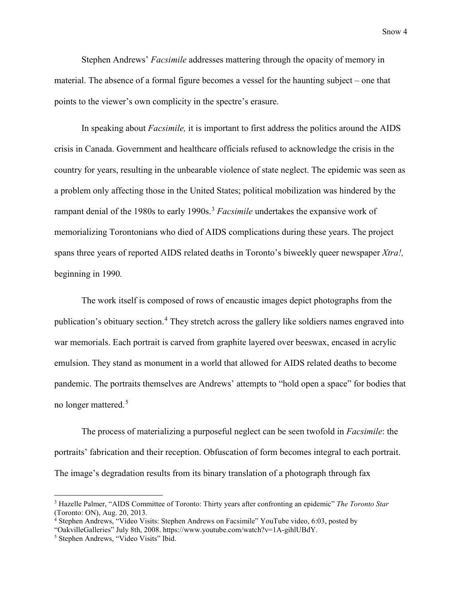Stephen Andrews' *Facsimile* addresses mattering through the opacity of memory in material. The absence of a formal figure becomes a vessel for the haunting subject – one that points to the viewer's own complicity in the spectre's erasure.

In speaking about *Facsimile,* it is important to first address the politics around the AIDS crisis in Canada. Government and healthcare officials refused to acknowledge the crisis in the country for years, resulting in the unbearable violence of state neglect. The epidemic was seen as a problem only affecting those in the United States; political mobilization was hindered by the rampant denial of the 1980s to early 1990s.[3](#page-3-0) *Facsimile* undertakes the expansive work of memorializing Torontonians who died of AIDS complications during these years. The project spans three years of reported AIDS related deaths in Toronto's biweekly queer newspaper *Xtra!,*  beginning in 1990*.*

The work itself is composed of rows of encaustic images depict photographs from the publication's obituary section.<sup>[4](#page-3-1)</sup> They stretch across the gallery like soldiers names engraved into war memorials. Each portrait is carved from graphite layered over beeswax, encased in acrylic emulsion. They stand as monument in a world that allowed for AIDS related deaths to become pandemic. The portraits themselves are Andrews' attempts to "hold open a space" for bodies that no longer mattered.[5](#page-3-2)

The process of materializing a purposeful neglect can be seen twofold in *Facsimile*: the portraits' fabrication and their reception. Obfuscation of form becomes integral to each portrait. The image's degradation results from its binary translation of a photograph through fax

 $\overline{\phantom{a}}$ 

<span id="page-3-0"></span><sup>3</sup> Hazelle Palmer, "AIDS Committee of Toronto: Thirty years after confronting an epidemic" *The Toronto Star*  (Toronto: ON), Aug. 20, 2013.

<span id="page-3-1"></span><sup>4</sup> Stephen Andrews, "Video Visits: Stephen Andrews on Facsimile" YouTube video, 6:03, posted by

<sup>&</sup>quot;OakvilleGalleries" July 8th, 2008. https://www.youtube.com/watch?v=1A-gihlUBdY.

<span id="page-3-2"></span><sup>5</sup> Stephen Andrews, "Video Visits" Ibid.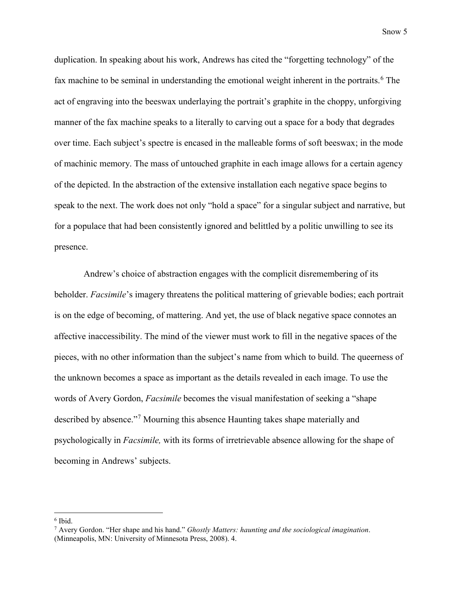duplication. In speaking about his work, Andrews has cited the "forgetting technology" of the fax machine to be seminal in understanding the emotional weight inherent in the portraits.<sup>[6](#page-4-0)</sup> The act of engraving into the beeswax underlaying the portrait's graphite in the choppy, unforgiving manner of the fax machine speaks to a literally to carving out a space for a body that degrades over time. Each subject's spectre is encased in the malleable forms of soft beeswax; in the mode of machinic memory. The mass of untouched graphite in each image allows for a certain agency of the depicted. In the abstraction of the extensive installation each negative space begins to speak to the next. The work does not only "hold a space" for a singular subject and narrative, but for a populace that had been consistently ignored and belittled by a politic unwilling to see its presence.

Andrew's choice of abstraction engages with the complicit disremembering of its beholder. *Facsimile*'s imagery threatens the political mattering of grievable bodies; each portrait is on the edge of becoming, of mattering. And yet, the use of black negative space connotes an affective inaccessibility. The mind of the viewer must work to fill in the negative spaces of the pieces, with no other information than the subject's name from which to build. The queerness of the unknown becomes a space as important as the details revealed in each image. To use the words of Avery Gordon, *Facsimile* becomes the visual manifestation of seeking a "shape described by absence."[7](#page-4-1) Mourning this absence Haunting takes shape materially and psychologically in *Facsimile,* with its forms of irretrievable absence allowing for the shape of becoming in Andrews' subjects.

<span id="page-4-0"></span><sup>6</sup> Ibid.

<span id="page-4-1"></span><sup>7</sup> Avery Gordon. "Her shape and his hand." *Ghostly Matters: haunting and the sociological imagination*. (Minneapolis, MN: University of Minnesota Press, 2008). 4.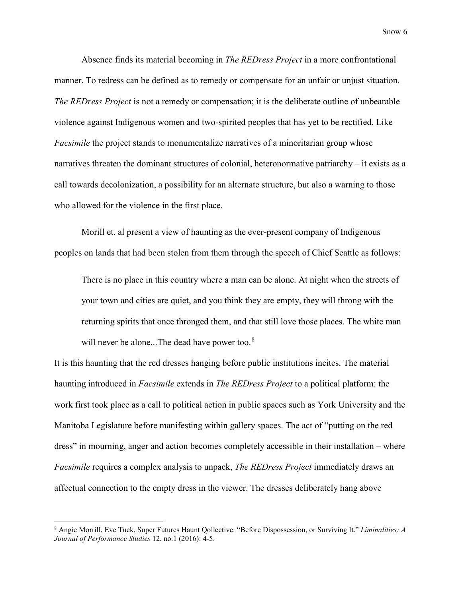Absence finds its material becoming in *The REDress Project* in a more confrontational manner. To redress can be defined as to remedy or compensate for an unfair or unjust situation. *The REDress Project* is not a remedy or compensation; it is the deliberate outline of unbearable violence against Indigenous women and two-spirited peoples that has yet to be rectified. Like *Facsimile* the project stands to monumentalize narratives of a minoritarian group whose narratives threaten the dominant structures of colonial, heteronormative patriarchy – it exists as a call towards decolonization, a possibility for an alternate structure, but also a warning to those who allowed for the violence in the first place.

Morill et. al present a view of haunting as the ever-present company of Indigenous peoples on lands that had been stolen from them through the speech of Chief Seattle as follows:

There is no place in this country where a man can be alone. At night when the streets of your town and cities are quiet, and you think they are empty, they will throng with the returning spirits that once thronged them, and that still love those places. The white man will never be alone...The dead have power too.<sup>[8](#page-5-0)</sup>

It is this haunting that the red dresses hanging before public institutions incites. The material haunting introduced in *Facsimile* extends in *The REDress Project* to a political platform: the work first took place as a call to political action in public spaces such as York University and the Manitoba Legislature before manifesting within gallery spaces. The act of "putting on the red dress" in mourning, anger and action becomes completely accessible in their installation – where *Facsimile* requires a complex analysis to unpack, *The REDress Project* immediately draws an affectual connection to the empty dress in the viewer. The dresses deliberately hang above

<span id="page-5-0"></span><sup>8</sup> Angie Morrill, Eve Tuck, Super Futures Haunt Qollective. "Before Dispossession, or Surviving It." *Liminalities: A Journal of Performance Studies* 12, no.1 (2016): 4-5.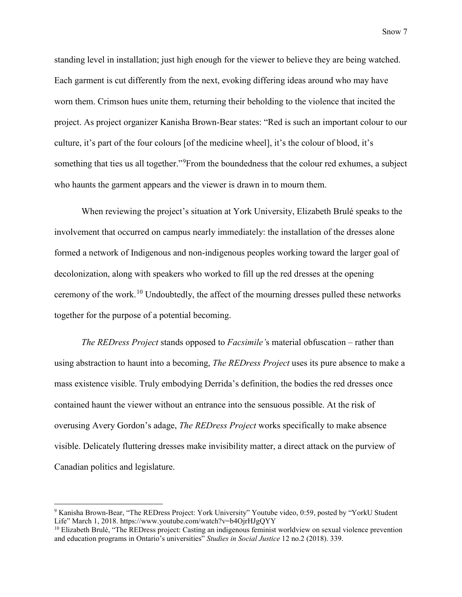standing level in installation; just high enough for the viewer to believe they are being watched. Each garment is cut differently from the next, evoking differing ideas around who may have worn them. Crimson hues unite them, returning their beholding to the violence that incited the project. As project organizer Kanisha Brown-Bear states: "Red is such an important colour to our culture, it's part of the four colours [of the medicine wheel], it's the colour of blood, it's something that ties us all together."<sup>[9](#page-6-0)</sup> From the boundedness that the colour red exhumes, a subject who haunts the garment appears and the viewer is drawn in to mourn them.

When reviewing the project's situation at York University, Elizabeth Brulé speaks to the involvement that occurred on campus nearly immediately: the installation of the dresses alone formed a network of Indigenous and non-indigenous peoples working toward the larger goal of decolonization, along with speakers who worked to fill up the red dresses at the opening ceremony of the work.[10](#page-6-1) Undoubtedly, the affect of the mourning dresses pulled these networks together for the purpose of a potential becoming.

*The REDress Project* stands opposed to *Facsimile'*s material obfuscation – rather than using abstraction to haunt into a becoming, *The REDress Project* uses its pure absence to make a mass existence visible. Truly embodying Derrida's definition, the bodies the red dresses once contained haunt the viewer without an entrance into the sensuous possible. At the risk of overusing Avery Gordon's adage, *The REDress Project* works specifically to make absence visible. Delicately fluttering dresses make invisibility matter, a direct attack on the purview of Canadian politics and legislature.

<span id="page-6-0"></span><sup>9</sup> Kanisha Brown-Bear, "The REDress Project: York University" Youtube video, 0:59, posted by "YorkU Student Life" March 1, 2018. https://www.youtube.com/watch?v=b4OjrHJgQYY

<span id="page-6-1"></span><sup>&</sup>lt;sup>10</sup> Elizabeth Brulé, "The REDress project: Casting an indigenous feminist worldview on sexual violence prevention and education programs in Ontario's universities" *Studies in Social Justice* 12 no.2 (2018). 339.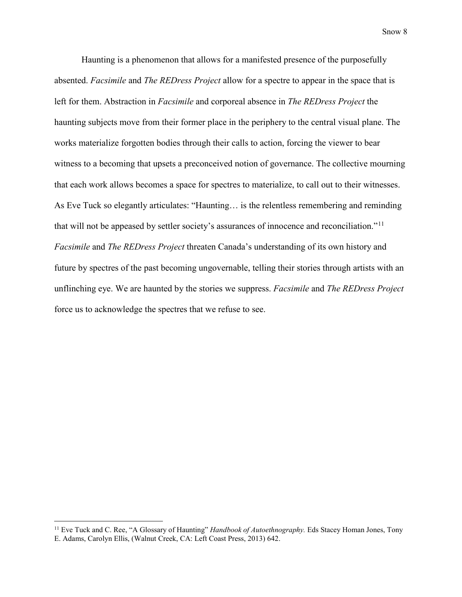Haunting is a phenomenon that allows for a manifested presence of the purposefully absented. *Facsimile* and *The REDress Project* allow for a spectre to appear in the space that is left for them. Abstraction in *Facsimile* and corporeal absence in *The REDress Project* the haunting subjects move from their former place in the periphery to the central visual plane. The works materialize forgotten bodies through their calls to action, forcing the viewer to bear witness to a becoming that upsets a preconceived notion of governance. The collective mourning that each work allows becomes a space for spectres to materialize, to call out to their witnesses. As Eve Tuck so elegantly articulates: "Haunting… is the relentless remembering and reminding that will not be appeased by settler society's assurances of innocence and reconciliation."<sup>[11](#page-7-0)</sup> *Facsimile* and *The REDress Project* threaten Canada's understanding of its own history and future by spectres of the past becoming ungovernable, telling their stories through artists with an unflinching eye. We are haunted by the stories we suppress. *Facsimile* and *The REDress Project*  force us to acknowledge the spectres that we refuse to see.

<span id="page-7-0"></span><sup>&</sup>lt;sup>11</sup> Eve Tuck and C. Ree, "A Glossary of Haunting" *Handbook of Autoethnography*. Eds Stacey Homan Jones, Tony E. Adams, Carolyn Ellis, (Walnut Creek, CA: Left Coast Press, 2013) 642.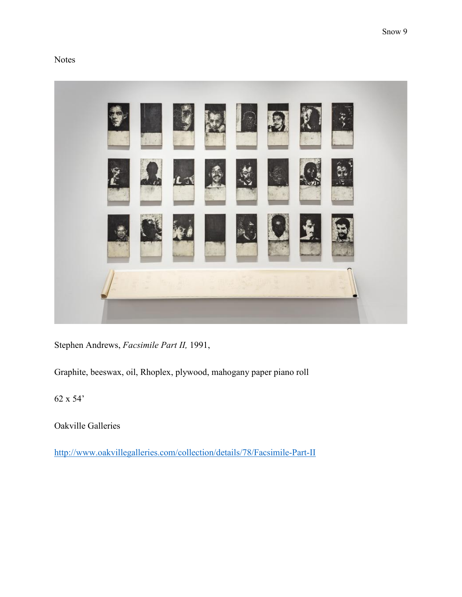## Notes



Stephen Andrews, *Facsimile Part II,* 1991,

Graphite, beeswax, oil, Rhoplex, plywood, mahogany paper piano roll

62 x 54'

Oakville Galleries

<http://www.oakvillegalleries.com/collection/details/78/Facsimile-Part-II>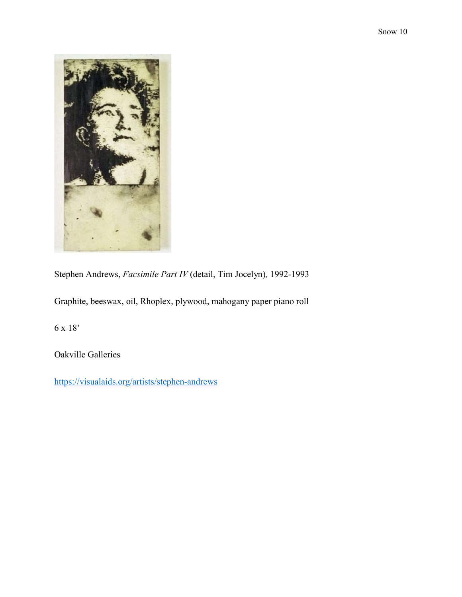

Stephen Andrews, *Facsimile Part IV* (detail, Tim Jocelyn)*,* 1992-1993

Graphite, beeswax, oil, Rhoplex, plywood, mahogany paper piano roll

6 x 18'

Oakville Galleries

<https://visualaids.org/artists/stephen-andrews>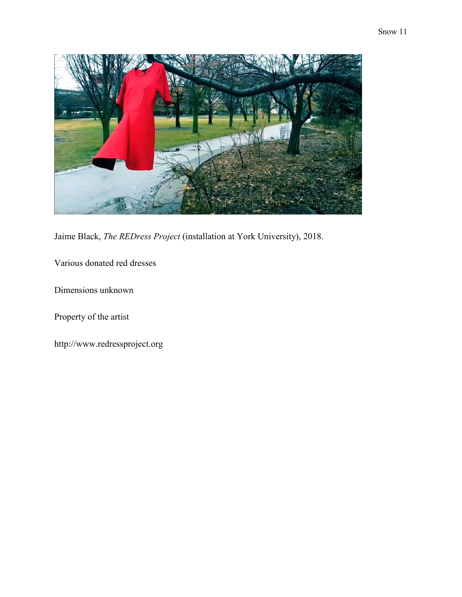

Jaime Black, *The REDress Project* (installation at York University), 2018.

Various donated red dresses

Dimensions unknown

Property of the artist

http://www.redressproject.org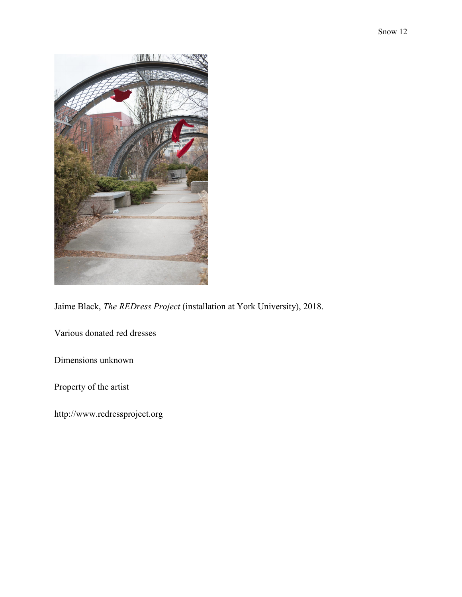

Jaime Black, *The REDress Project* (installation at York University), 2018.

Various donated red dresses

Dimensions unknown

Property of the artist

http://www.redressproject.org